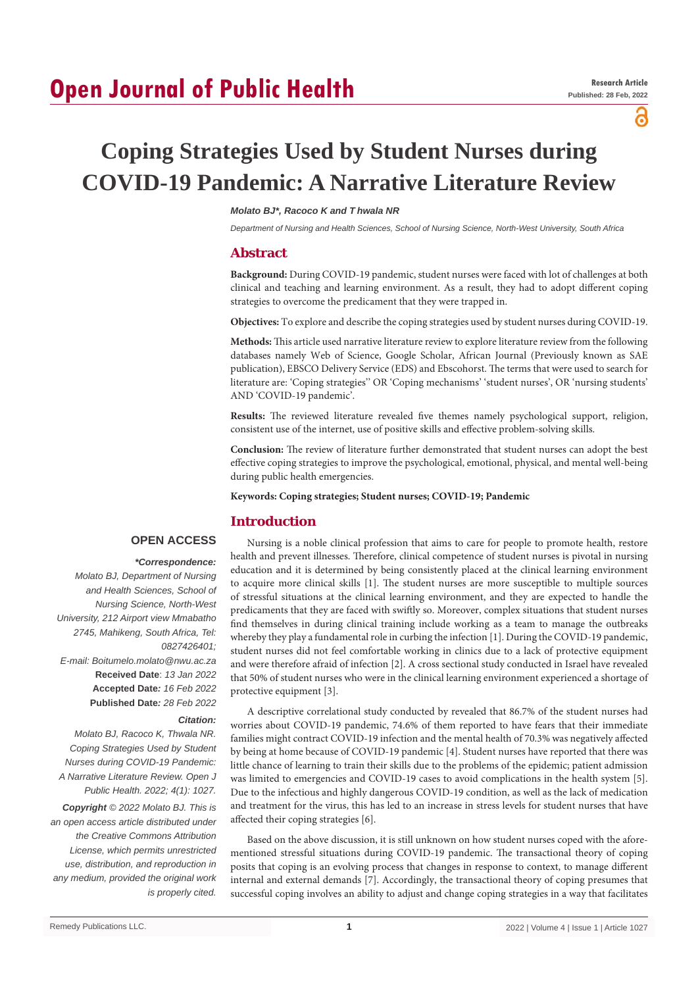# **Open Journal of Public Health**

പ്പ

# **Coping Strategies Used by Student Nurses during COVID-19 Pandemic: A Narrative Literature Review**

# *Molato BJ\*, Racoco K and T hwala NR*

*Department of Nursing and Health Sciences, School of Nursing Science, North-West University, South Africa*

# **Abstract**

**Background:** During COVID-19 pandemic, student nurses were faced with lot of challenges at both clinical and teaching and learning environment. As a result, they had to adopt different coping strategies to overcome the predicament that they were trapped in.

**Objectives:** To explore and describe the coping strategies used by student nurses during COVID-19.

**Methods:** This article used narrative literature review to explore literature review from the following databases namely Web of Science, Google Scholar, African Journal (Previously known as SAE publication), EBSCO Delivery Service (EDS) and Ebscohorst. The terms that were used to search for literature are: 'Coping strategies'' OR 'Coping mechanisms' 'student nurses', OR 'nursing students' AND 'COVID-19 pandemic'.

**Results:** The reviewed literature revealed five themes namely psychological support, religion, consistent use of the internet, use of positive skills and effective problem-solving skills.

**Conclusion:** The review of literature further demonstrated that student nurses can adopt the best effective coping strategies to improve the psychological, emotional, physical, and mental well-being during public health emergencies.

**Keywords: Coping strategies; Student nurses; COVID-19; Pandemic**

# **Introduction**

# **OPEN ACCESS**

 *\*Correspondence: Molato BJ, Department of Nursing and Health Sciences, School of Nursing Science, North-West University, 212 Airport view Mmabatho 2745, Mahikeng, South Africa, Tel: 0827426401; E-mail: Boitumelo.molato@nwu.ac.za* **Received Date**: *13 Jan 2022* **Accepted Date***: 16 Feb 2022* **Published Date***: 28 Feb 2022*

#### *Citation:*

*Molato BJ, Racoco K, Thwala NR. Coping Strategies Used by Student Nurses during COVID-19 Pandemic: A Narrative Literature Review. Open J Public Health. 2022; 4(1): 1027.*

*Copyright © 2022 Molato BJ. This is an open access article distributed under the Creative Commons Attribution License, which permits unrestricted use, distribution, and reproduction in any medium, provided the original work is properly cited.*

Nursing is a noble clinical profession that aims to care for people to promote health, restore health and prevent illnesses. Therefore, clinical competence of student nurses is pivotal in nursing education and it is determined by being consistently placed at the clinical learning environment to acquire more clinical skills [1]. The student nurses are more susceptible to multiple sources of stressful situations at the clinical learning environment, and they are expected to handle the predicaments that they are faced with swiftly so. Moreover, complex situations that student nurses find themselves in during clinical training include working as a team to manage the outbreaks whereby they play a fundamental role in curbing the infection [1]. During the COVID-19 pandemic, student nurses did not feel comfortable working in clinics due to a lack of protective equipment and were therefore afraid of infection [2]. A cross sectional study conducted in Israel have revealed that 50% of student nurses who were in the clinical learning environment experienced a shortage of protective equipment [3].

A descriptive correlational study conducted by revealed that 86.7% of the student nurses had worries about COVID-19 pandemic, 74.6% of them reported to have fears that their immediate families might contract COVID-19 infection and the mental health of 70.3% was negatively affected by being at home because of COVID-19 pandemic [4]. Student nurses have reported that there was little chance of learning to train their skills due to the problems of the epidemic; patient admission was limited to emergencies and COVID-19 cases to avoid complications in the health system [5]. Due to the infectious and highly dangerous COVID-19 condition, as well as the lack of medication and treatment for the virus, this has led to an increase in stress levels for student nurses that have affected their coping strategies [6].

Based on the above discussion, it is still unknown on how student nurses coped with the aforementioned stressful situations during COVID-19 pandemic. The transactional theory of coping posits that coping is an evolving process that changes in response to context, to manage different internal and external demands [7]. Accordingly, the transactional theory of coping presumes that successful coping involves an ability to adjust and change coping strategies in a way that facilitates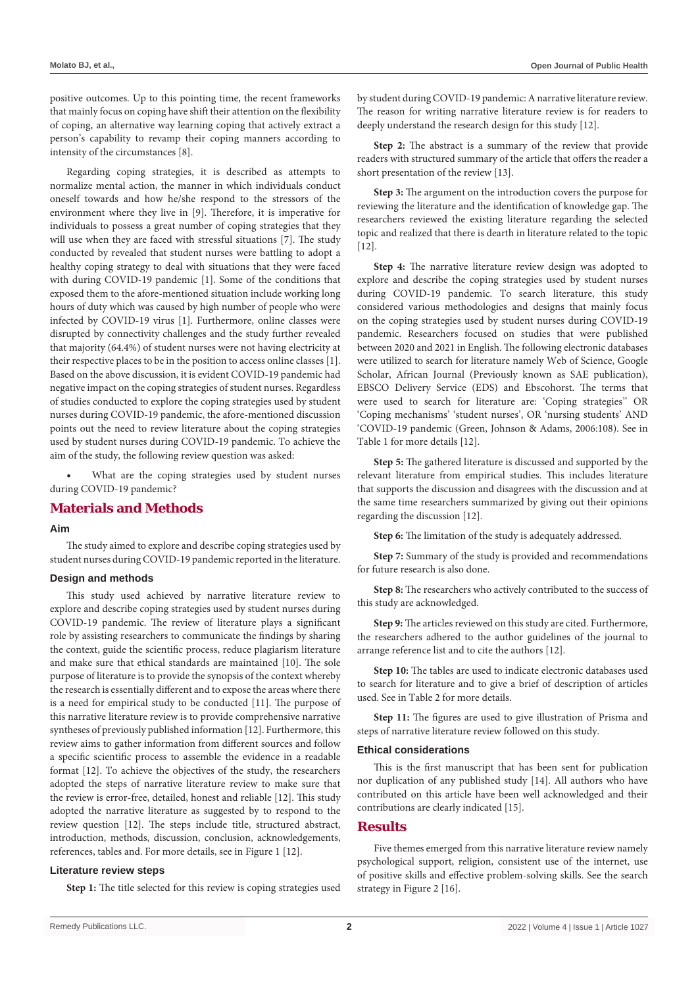positive outcomes. Up to this pointing time, the recent frameworks that mainly focus on coping have shift their attention on the flexibility of coping, an alternative way learning coping that actively extract a person's capability to revamp their coping manners according to intensity of the circumstances [8].

Regarding coping strategies, it is described as attempts to normalize mental action, the manner in which individuals conduct oneself towards and how he/she respond to the stressors of the environment where they live in [9]. Therefore, it is imperative for individuals to possess a great number of coping strategies that they will use when they are faced with stressful situations [7]. The study conducted by revealed that student nurses were battling to adopt a healthy coping strategy to deal with situations that they were faced with during COVID-19 pandemic [1]. Some of the conditions that exposed them to the afore-mentioned situation include working long hours of duty which was caused by high number of people who were infected by COVID-19 virus [1]. Furthermore, online classes were disrupted by connectivity challenges and the study further revealed that majority (64.4%) of student nurses were not having electricity at their respective places to be in the position to access online classes [1]. Based on the above discussion, it is evident COVID-19 pandemic had negative impact on the coping strategies of student nurses. Regardless of studies conducted to explore the coping strategies used by student nurses during COVID-19 pandemic, the afore-mentioned discussion points out the need to review literature about the coping strategies used by student nurses during COVID-19 pandemic. To achieve the aim of the study, the following review question was asked:

What are the coping strategies used by student nurses during COVID-19 pandemic?

# **Materials and Methods**

### **Aim**

The study aimed to explore and describe coping strategies used by student nurses during COVID-19 pandemic reported in the literature.

### **Design and methods**

This study used achieved by narrative literature review to explore and describe coping strategies used by student nurses during COVID-19 pandemic. The review of literature plays a significant role by assisting researchers to communicate the findings by sharing the context, guide the scientific process, reduce plagiarism literature and make sure that ethical standards are maintained [10]. The sole purpose of literature is to provide the synopsis of the context whereby the research is essentially different and to expose the areas where there is a need for empirical study to be conducted [11]. The purpose of this narrative literature review is to provide comprehensive narrative syntheses of previously published information [12]. Furthermore, this review aims to gather information from different sources and follow a specific scientific process to assemble the evidence in a readable format [12]. To achieve the objectives of the study, the researchers adopted the steps of narrative literature review to make sure that the review is error-free, detailed, honest and reliable [12]. This study adopted the narrative literature as suggested by to respond to the review question [12]. The steps include title, structured abstract, introduction, methods, discussion, conclusion, acknowledgements, references, tables and. For more details, see in Figure 1 [12].

### **Literature review steps**

**Step 1:** The title selected for this review is coping strategies used

by student during COVID-19 pandemic: A narrative literature review. The reason for writing narrative literature review is for readers to deeply understand the research design for this study [12].

**Step 2:** The abstract is a summary of the review that provide readers with structured summary of the article that offers the reader a short presentation of the review [13].

**Step 3:** The argument on the introduction covers the purpose for reviewing the literature and the identification of knowledge gap. The researchers reviewed the existing literature regarding the selected topic and realized that there is dearth in literature related to the topic [12].

**Step 4:** The narrative literature review design was adopted to explore and describe the coping strategies used by student nurses during COVID-19 pandemic. To search literature, this study considered various methodologies and designs that mainly focus on the coping strategies used by student nurses during COVID-19 pandemic. Researchers focused on studies that were published between 2020 and 2021 in English. The following electronic databases were utilized to search for literature namely Web of Science, Google Scholar, African Journal (Previously known as SAE publication), EBSCO Delivery Service (EDS) and Ebscohorst. The terms that were used to search for literature are: 'Coping strategies'' OR 'Coping mechanisms' 'student nurses', OR 'nursing students' AND 'COVID-19 pandemic (Green, Johnson & Adams, 2006:108). See in Table 1 for more details [12].

**Step 5:** The gathered literature is discussed and supported by the relevant literature from empirical studies. This includes literature that supports the discussion and disagrees with the discussion and at the same time researchers summarized by giving out their opinions regarding the discussion [12].

**Step 6:** The limitation of the study is adequately addressed.

**Step 7:** Summary of the study is provided and recommendations for future research is also done.

**Step 8:** The researchers who actively contributed to the success of this study are acknowledged.

**Step 9:** The articles reviewed on this study are cited. Furthermore, the researchers adhered to the author guidelines of the journal to arrange reference list and to cite the authors [12].

**Step 10:** The tables are used to indicate electronic databases used to search for literature and to give a brief of description of articles used. See in Table 2 for more details.

**Step 11:** The figures are used to give illustration of Prisma and steps of narrative literature review followed on this study.

#### **Ethical considerations**

This is the first manuscript that has been sent for publication nor duplication of any published study [14]. All authors who have contributed on this article have been well acknowledged and their contributions are clearly indicated [15].

### **Results**

Five themes emerged from this narrative literature review namely psychological support, religion, consistent use of the internet, use of positive skills and effective problem-solving skills. See the search strategy in Figure 2 [16].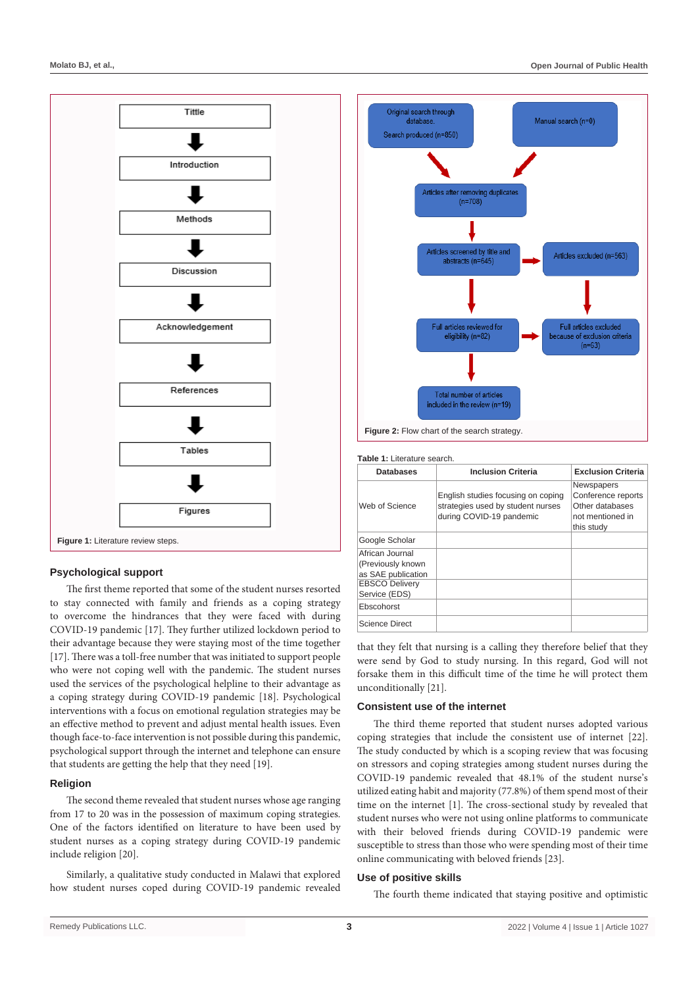

### **Psychological support**

The first theme reported that some of the student nurses resorted to stay connected with family and friends as a coping strategy to overcome the hindrances that they were faced with during COVID-19 pandemic [17]. They further utilized lockdown period to their advantage because they were staying most of the time together [17]. There was a toll-free number that was initiated to support people who were not coping well with the pandemic. The student nurses used the services of the psychological helpline to their advantage as a coping strategy during COVID-19 pandemic [18]. Psychological interventions with a focus on emotional regulation strategies may be an effective method to prevent and adjust mental health issues. Even though face-to-face intervention is not possible during this pandemic, psychological support through the internet and telephone can ensure that students are getting the help that they need [19].

### **Religion**

The second theme revealed that student nurses whose age ranging from 17 to 20 was in the possession of maximum coping strategies. One of the factors identified on literature to have been used by student nurses as a coping strategy during COVID-19 pandemic include religion [20].

Similarly, a qualitative study conducted in Malawi that explored how student nurses coped during COVID-19 pandemic revealed



#### **Table 1:** Literature search.

| <b>Databases</b>                                           | <b>Inclusion Criteria</b>                                                                           | <b>Exclusion Criteria</b>                                                                    |
|------------------------------------------------------------|-----------------------------------------------------------------------------------------------------|----------------------------------------------------------------------------------------------|
| Web of Science                                             | English studies focusing on coping<br>strategies used by student nurses<br>during COVID-19 pandemic | <b>Newspapers</b><br>Conference reports<br>Other databases<br>not mentioned in<br>this study |
| Google Scholar                                             |                                                                                                     |                                                                                              |
| African Journal<br>(Previously known<br>as SAE publication |                                                                                                     |                                                                                              |
| <b>EBSCO Delivery</b><br>Service (EDS)                     |                                                                                                     |                                                                                              |
| Ebscohorst                                                 |                                                                                                     |                                                                                              |
| <b>Science Direct</b>                                      |                                                                                                     |                                                                                              |

that they felt that nursing is a calling they therefore belief that they were send by God to study nursing. In this regard, God will not forsake them in this difficult time of the time he will protect them unconditionally [21].

#### **Consistent use of the internet**

The third theme reported that student nurses adopted various coping strategies that include the consistent use of internet [22]. The study conducted by which is a scoping review that was focusing on stressors and coping strategies among student nurses during the COVID-19 pandemic revealed that 48.1% of the student nurse's utilized eating habit and majority (77.8%) of them spend most of their time on the internet [1]. The cross-sectional study by revealed that student nurses who were not using online platforms to communicate with their beloved friends during COVID-19 pandemic were susceptible to stress than those who were spending most of their time online communicating with beloved friends [23].

#### **Use of positive skills**

The fourth theme indicated that staying positive and optimistic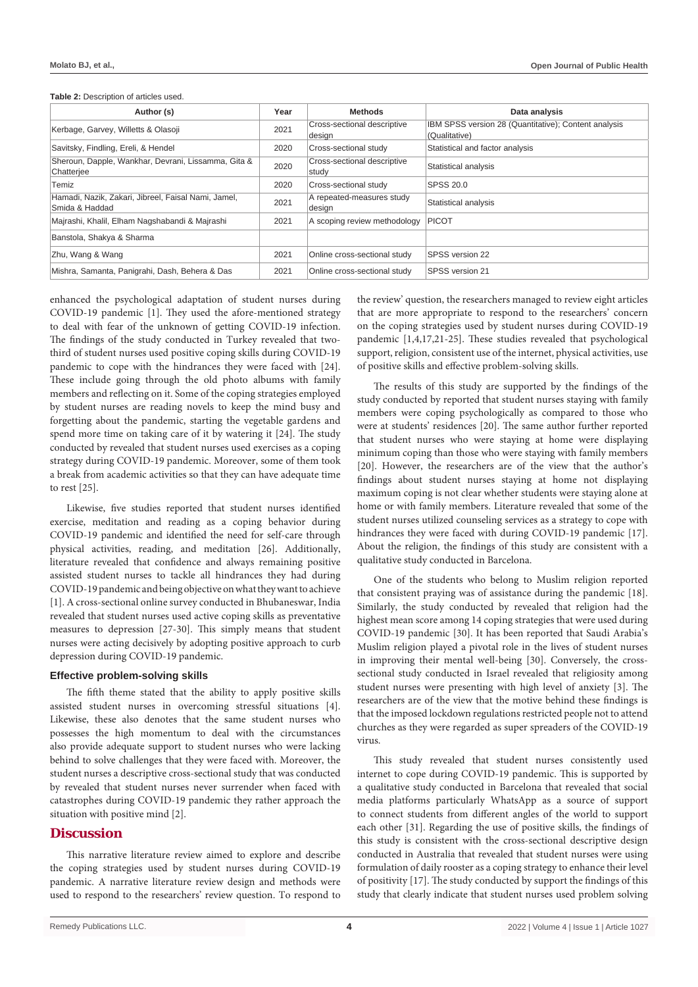| Table 2: Description of articles used. |  |
|----------------------------------------|--|
|----------------------------------------|--|

| Author (s)                                                            | Year | <b>Methods</b>                        | Data analysis                                                         |
|-----------------------------------------------------------------------|------|---------------------------------------|-----------------------------------------------------------------------|
| Kerbage, Garvey, Willetts & Olasoji                                   | 2021 | Cross-sectional descriptive<br>design | IBM SPSS version 28 (Quantitative); Content analysis<br>(Qualitative) |
| Savitsky, Findling, Ereli, & Hendel                                   | 2020 | Cross-sectional study                 | Statistical and factor analysis                                       |
| Sheroun, Dapple, Wankhar, Devrani, Lissamma, Gita &<br>Chatterjee     | 2020 | Cross-sectional descriptive<br>studv  | Statistical analysis                                                  |
| Temiz                                                                 | 2020 | Cross-sectional study                 | SPSS 20.0                                                             |
| Hamadi, Nazik, Zakari, Jibreel, Faisal Nami, Jamel,<br>Smida & Haddad | 2021 | A repeated-measures study<br>design   | Statistical analysis                                                  |
| Majrashi, Khalil, Elham Nagshabandi & Majrashi                        | 2021 | A scoping review methodology          | <b>PICOT</b>                                                          |
| Banstola, Shakya & Sharma                                             |      |                                       |                                                                       |
| Zhu, Wang & Wang                                                      | 2021 | Online cross-sectional study          | SPSS version 22                                                       |
| Mishra, Samanta, Panigrahi, Dash, Behera & Das                        | 2021 | Online cross-sectional study          | SPSS version 21                                                       |

enhanced the psychological adaptation of student nurses during COVID-19 pandemic [1]. They used the afore-mentioned strategy to deal with fear of the unknown of getting COVID-19 infection. The findings of the study conducted in Turkey revealed that twothird of student nurses used positive coping skills during COVID-19 pandemic to cope with the hindrances they were faced with [24]. These include going through the old photo albums with family members and reflecting on it. Some of the coping strategies employed by student nurses are reading novels to keep the mind busy and forgetting about the pandemic, starting the vegetable gardens and spend more time on taking care of it by watering it [24]. The study conducted by revealed that student nurses used exercises as a coping strategy during COVID-19 pandemic. Moreover, some of them took a break from academic activities so that they can have adequate time to rest [25].

Likewise, five studies reported that student nurses identified exercise, meditation and reading as a coping behavior during COVID-19 pandemic and identified the need for self-care through physical activities, reading, and meditation [26]. Additionally, literature revealed that confidence and always remaining positive assisted student nurses to tackle all hindrances they had during COVID-19 pandemic and being objective on what they want to achieve [1]. A cross-sectional online survey conducted in Bhubaneswar, India revealed that student nurses used active coping skills as preventative measures to depression [27-30]. This simply means that student nurses were acting decisively by adopting positive approach to curb depression during COVID-19 pandemic.

#### **Effective problem-solving skills**

The fifth theme stated that the ability to apply positive skills assisted student nurses in overcoming stressful situations [4]. Likewise, these also denotes that the same student nurses who possesses the high momentum to deal with the circumstances also provide adequate support to student nurses who were lacking behind to solve challenges that they were faced with. Moreover, the student nurses a descriptive cross-sectional study that was conducted by revealed that student nurses never surrender when faced with catastrophes during COVID-19 pandemic they rather approach the situation with positive mind [2].

# **Discussion**

This narrative literature review aimed to explore and describe the coping strategies used by student nurses during COVID-19 pandemic. A narrative literature review design and methods were used to respond to the researchers' review question. To respond to the review' question, the researchers managed to review eight articles that are more appropriate to respond to the researchers' concern on the coping strategies used by student nurses during COVID-19 pandemic [1,4,17,21-25]. These studies revealed that psychological support, religion, consistent use of the internet, physical activities, use of positive skills and effective problem-solving skills.

The results of this study are supported by the findings of the study conducted by reported that student nurses staying with family members were coping psychologically as compared to those who were at students' residences [20]. The same author further reported that student nurses who were staying at home were displaying minimum coping than those who were staying with family members [20]. However, the researchers are of the view that the author's findings about student nurses staying at home not displaying maximum coping is not clear whether students were staying alone at home or with family members. Literature revealed that some of the student nurses utilized counseling services as a strategy to cope with hindrances they were faced with during COVID-19 pandemic [17]. About the religion, the findings of this study are consistent with a qualitative study conducted in Barcelona.

One of the students who belong to Muslim religion reported that consistent praying was of assistance during the pandemic [18]. Similarly, the study conducted by revealed that religion had the highest mean score among 14 coping strategies that were used during COVID-19 pandemic [30]. It has been reported that Saudi Arabia's Muslim religion played a pivotal role in the lives of student nurses in improving their mental well-being [30]. Conversely, the crosssectional study conducted in Israel revealed that religiosity among student nurses were presenting with high level of anxiety [3]. The researchers are of the view that the motive behind these findings is that the imposed lockdown regulations restricted people not to attend churches as they were regarded as super spreaders of the COVID-19 virus.

This study revealed that student nurses consistently used internet to cope during COVID-19 pandemic. This is supported by a qualitative study conducted in Barcelona that revealed that social media platforms particularly WhatsApp as a source of support to connect students from different angles of the world to support each other [31]. Regarding the use of positive skills, the findings of this study is consistent with the cross-sectional descriptive design conducted in Australia that revealed that student nurses were using formulation of daily rooster as a coping strategy to enhance their level of positivity [17]. The study conducted by support the findings of this study that clearly indicate that student nurses used problem solving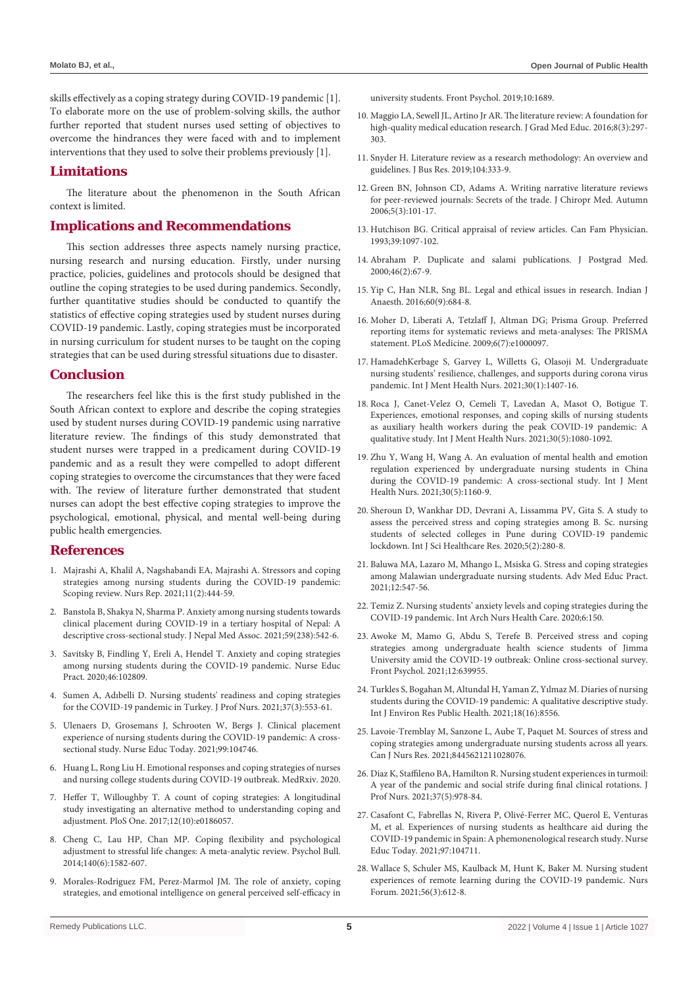skills effectively as a coping strategy during COVID-19 pandemic [1]. To elaborate more on the use of problem-solving skills, the author further reported that student nurses used setting of objectives to overcome the hindrances they were faced with and to implement interventions that they used to solve their problems previously [1].

# **Limitations**

The literature about the phenomenon in the South African context is limited.

# **Implications and Recommendations**

This section addresses three aspects namely nursing practice, nursing research and nursing education. Firstly, under nursing practice, policies, guidelines and protocols should be designed that outline the coping strategies to be used during pandemics. Secondly, further quantitative studies should be conducted to quantify the statistics of effective coping strategies used by student nurses during COVID-19 pandemic. Lastly, coping strategies must be incorporated in nursing curriculum for student nurses to be taught on the coping strategies that can be used during stressful situations due to disaster.

### **Conclusion**

The researchers feel like this is the first study published in the South African context to explore and describe the coping strategies used by student nurses during COVID-19 pandemic using narrative literature review. The findings of this study demonstrated that student nurses were trapped in a predicament during COVID-19 pandemic and as a result they were compelled to adopt different coping strategies to overcome the circumstances that they were faced with. The review of literature further demonstrated that student nurses can adopt the best effective coping strategies to improve the psychological, emotional, physical, and mental well-being during public health emergencies.

# **References**

- 1. [Majrashi A, Khalil A, Nagshabandi EA, Majrashi A. Stressors and coping](https://www.mdpi.com/2039-4403/11/2/42)  [strategies among nursing students during the COVID-19 pandemic:](https://www.mdpi.com/2039-4403/11/2/42)  [Scoping review. Nurs Rep. 2021;11\(2\):444-59.](https://www.mdpi.com/2039-4403/11/2/42)
- 2. Banstola B, Shakya N, Sharma P. Anxiety among nursing students towards clinical placement during COVID-19 in a tertiary hospital of Nepal: A descriptive cross-sectional study. J Nepal Med Assoc. 2021;59(238):542-6.
- 3. [Savitsky B, Findling Y, Ereli A, Hendel T. Anxiety and coping strategies](https://pubmed.ncbi.nlm.nih.gov/32679465/)  [among nursing students during the COVID-19 pandemic. Nurse Educ](https://pubmed.ncbi.nlm.nih.gov/32679465/)  [Pract. 2020;46:102809.](https://pubmed.ncbi.nlm.nih.gov/32679465/)
- 4. [Sumen A, Adıbelli D. Nursing students' readiness and coping strategies](https://pubmed.ncbi.nlm.nih.gov/34016314/)  [for the COVID-19 pandemic in Turkey. J Prof Nurs. 2021;37\(3\):553-61.](https://pubmed.ncbi.nlm.nih.gov/34016314/)
- 5. [Ulenaers D, Grosemans J, Schrooten W, Bergs J. Clinical placement](https://www.sciencedirect.com/science/article/pii/S0260691721000034)  [experience of nursing students during the COVID-19 pandemic: A cross](https://www.sciencedirect.com/science/article/pii/S0260691721000034)[sectional study. Nurse Educ Today. 2021;99:104746.](https://www.sciencedirect.com/science/article/pii/S0260691721000034)
- 6. [Huang L, Rong Liu H. Emotional responses and coping strategies of nurses](https://www.medrxiv.org/content/10.1101/2020.03.05.20031898v1)  [and nursing college students during COVID-19 outbreak. MedRxiv. 2020.](https://www.medrxiv.org/content/10.1101/2020.03.05.20031898v1)
- 7. [Heffer T, Willoughby T. A count of coping strategies: A longitudinal](https://pubmed.ncbi.nlm.nih.gov/28982138/)  [study investigating an alternative method to understanding coping and](https://pubmed.ncbi.nlm.nih.gov/28982138/)  [adjustment. PloS One. 2017;12\(10\):e0186057.](https://pubmed.ncbi.nlm.nih.gov/28982138/)
- 8. [Cheng C, Lau HP, Chan MP. Coping flexibility and psychological](https://pubmed.ncbi.nlm.nih.gov/25222637/)  [adjustment to stressful life changes: A meta-analytic review. Psychol Bull.](https://pubmed.ncbi.nlm.nih.gov/25222637/)  [2014;140\(6\):1582-607.](https://pubmed.ncbi.nlm.nih.gov/25222637/)
- 9. [Morales-Rodriguez FM, Perez-Marmol JM. The role of anxiety, coping](https://www.ncbi.nlm.nih.gov/pmc/articles/PMC6692438/)  [strategies, and emotional intelligence on general perceived self-efficacy in](https://www.ncbi.nlm.nih.gov/pmc/articles/PMC6692438/)

[university students. Front Psychol. 2019;10:1689.](https://www.ncbi.nlm.nih.gov/pmc/articles/PMC6692438/)

- 10. [Maggio LA, Sewell JL, Artino Jr AR. The literature review: A foundation for](https://pubmed.ncbi.nlm.nih.gov/27413425/)  [high-quality medical education research. J Grad Med Educ. 2016;8\(3\):297-](https://pubmed.ncbi.nlm.nih.gov/27413425/) [303.](https://pubmed.ncbi.nlm.nih.gov/27413425/)
- 11. [Snyder H. Literature review as a research methodology: An overview and](https://www.sciencedirect.com/science/article/pii/S0148296319304564)  [guidelines. J Bus Res. 2019;104:333-9.](https://www.sciencedirect.com/science/article/pii/S0148296319304564)
- 12. [Green BN, Johnson CD, Adams A. Writing narrative literature reviews](https://pubmed.ncbi.nlm.nih.gov/19674681/)  [for peer-reviewed journals: Secrets of the trade. J Chiropr Med. Autumn](https://pubmed.ncbi.nlm.nih.gov/19674681/)   $2006;5(3):101-17.$
- 13. [Hutchison BG. Critical appraisal of review articles. Can Fam Physician.](https://pubmed.ncbi.nlm.nih.gov/8499790/)  [1993;39:1097-102.](https://pubmed.ncbi.nlm.nih.gov/8499790/)
- 14. [Abraham P. Duplicate and salami publications. J Postgrad Med.](https://www.jpgmonline.com/article.asp?issn=0022-3859;year=2000;volume=46;issue=2;spage=67;epage=9;aulast=)  [2000;46\(2\):67-9.](https://www.jpgmonline.com/article.asp?issn=0022-3859;year=2000;volume=46;issue=2;spage=67;epage=9;aulast=)
- 15. [Yip C, Han NLR, Sng BL. Legal and ethical issues in research. Indian J](https://www.ncbi.nlm.nih.gov/pmc/articles/PMC5037952/)  [Anaesth. 2016;60\(9\):684-8.](https://www.ncbi.nlm.nih.gov/pmc/articles/PMC5037952/)
- 16. [Moher D, Liberati A, Tetzlaff J, Altman DG; Prisma Group. Preferred](https://pubmed.ncbi.nlm.nih.gov/19621072/)  [reporting items for systematic reviews and meta-analyses: The PRISMA](https://pubmed.ncbi.nlm.nih.gov/19621072/)  [statement. PLoS Medicine. 2009;6\(7\):e1000097.](https://pubmed.ncbi.nlm.nih.gov/19621072/)
- 17. [HamadehKerbage S, Garvey L, Willetts G, Olasoji M. Undergraduate](https://pubmed.ncbi.nlm.nih.gov/34109714/)  [nursing students' resilience, challenges, and supports during corona virus](https://pubmed.ncbi.nlm.nih.gov/34109714/)  [pandemic. Int J Ment Health Nurs. 2021;30\(1\):1407-16.](https://pubmed.ncbi.nlm.nih.gov/34109714/)
- 18. [Roca J, Canet‐Velez O, Cemeli T, Lavedan A, Masot O, Botigue T.](https://pubmed.ncbi.nlm.nih.gov/33792160/)  [Experiences, emotional responses, and coping skills of nursing students](https://pubmed.ncbi.nlm.nih.gov/33792160/)  [as auxiliary health workers during the peak COVID‐19 pandemic: A](https://pubmed.ncbi.nlm.nih.gov/33792160/)  [qualitative study. Int J Ment Health Nurs. 2021;30\(5\):1080-1092.](https://pubmed.ncbi.nlm.nih.gov/33792160/)
- 19. Zhu Y, Wang H, Wang A. An evaluation of mental health and emotion regulation experienced by undergraduate nursing students in China during the COVID‐19 pandemic: A cross‐sectional study. Int J Ment Health Nurs. 2021;30(5):1160-9.
- 20. [Sheroun D, Wankhar DD, Devrani A, Lissamma PV, Gita S. A study to](https://ijshr.com/IJSHR_Vol.5_Issue.2_April2020/IJSHR_Abstract.0038.html)  [assess the perceived stress and coping strategies among B. Sc. nursing](https://ijshr.com/IJSHR_Vol.5_Issue.2_April2020/IJSHR_Abstract.0038.html)  [students of selected colleges in Pune during COVID-19 pandemic](https://ijshr.com/IJSHR_Vol.5_Issue.2_April2020/IJSHR_Abstract.0038.html)  [lockdown. Int J Sci Healthcare Res. 2020;5\(2\):280-8.](https://ijshr.com/IJSHR_Vol.5_Issue.2_April2020/IJSHR_Abstract.0038.html)
- 21. [Baluwa MA, Lazaro M, Mhango L, Msiska G. Stress and coping strategies](https://pubmed.ncbi.nlm.nih.gov/34093050/)  [among Malawian undergraduate nursing students. Adv Med Educ Pract.](https://pubmed.ncbi.nlm.nih.gov/34093050/)  [2021;12:547-56.](https://pubmed.ncbi.nlm.nih.gov/34093050/)
- 22. [Temiz Z. Nursing students' anxiety levels and coping strategies during the](https://clinmedjournals.org/articles/ianhc/international-archives-of-nursing-and-health-care-ianhc-6-150.php?jid=ianhc)  [COVID-19 pandemic. Int Arch Nurs Health Care. 2020;6:150.](https://clinmedjournals.org/articles/ianhc/international-archives-of-nursing-and-health-care-ianhc-6-150.php?jid=ianhc)
- 23. [Awoke M, Mamo G, Abdu S, Terefe B. Perceived stress and coping](https://pubmed.ncbi.nlm.nih.gov/33859594/)  [strategies among undergraduate health science students of Jimma](https://pubmed.ncbi.nlm.nih.gov/33859594/)  [University amid the COVID-19 outbreak: Online cross-sectional survey.](https://pubmed.ncbi.nlm.nih.gov/33859594/)  [Front Psychol. 2021;12:639955.](https://pubmed.ncbi.nlm.nih.gov/33859594/)
- 24. [Turkles S, Bogahan M, Altundal H, Yaman Z, Yılmaz M. Diaries of nursing](https://pubmed.ncbi.nlm.nih.gov/34444301/)  [students during the COVID-19 pandemic: A qualitative descriptive study.](https://pubmed.ncbi.nlm.nih.gov/34444301/)  [Int J Environ Res Public Health. 2021;18\(16\):8556.](https://pubmed.ncbi.nlm.nih.gov/34444301/)
- 25. [Lavoie-Tremblay M, Sanzone L, Aube T, Paquet M. Sources of stress and](https://pubmed.ncbi.nlm.nih.gov/34192949/)  [coping strategies among undergraduate nursing students across all years.](https://pubmed.ncbi.nlm.nih.gov/34192949/)  [Can J Nurs Res. 2021;8445621211028076.](https://pubmed.ncbi.nlm.nih.gov/34192949/)
- 26. [Diaz K, Staffileno BA, Hamilton R. Nursing student experiences in turmoil:](https://pubmed.ncbi.nlm.nih.gov/34742531/)  [A year of the pandemic and social strife during final clinical rotations. J](https://pubmed.ncbi.nlm.nih.gov/34742531/)  [Prof Nurs. 2021;37\(5\):978-84.](https://pubmed.ncbi.nlm.nih.gov/34742531/)
- 27. [Casafont C, Fabrellas N, Rivera P, Olivé-Ferrer MC, Querol E, Venturas](https://pubmed.ncbi.nlm.nih.gov/33418340/)  [M, et al. Experiences of nursing students as healthcare aid during the](https://pubmed.ncbi.nlm.nih.gov/33418340/)  [COVID-19 pandemic in Spain: A phemonenological research study. Nurse](https://pubmed.ncbi.nlm.nih.gov/33418340/)  [Educ Today. 2021;97:104711.](https://pubmed.ncbi.nlm.nih.gov/33418340/)
- 28. [Wallace S, Schuler MS, Kaulback M, Hunt K, Baker M. Nursing student](https://pubmed.ncbi.nlm.nih.gov/33728660/)  [experiences of remote learning during the COVID‐19 pandemic. Nurs](https://pubmed.ncbi.nlm.nih.gov/33728660/)  [Forum. 2021;56\(3\):612-8.](https://pubmed.ncbi.nlm.nih.gov/33728660/)